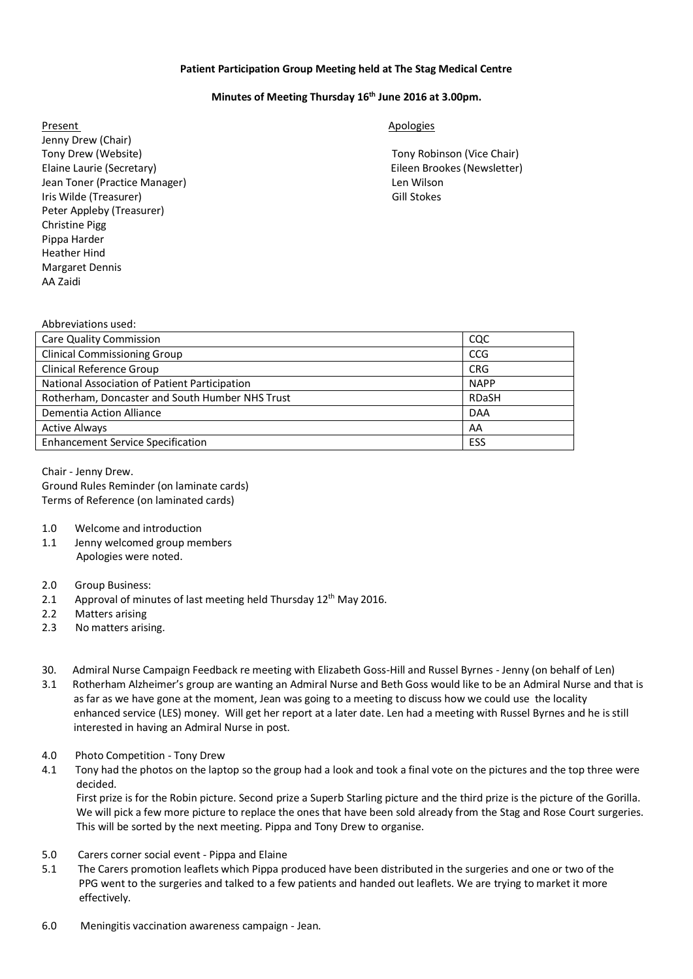## **Patient Participation Group Meeting held at The Stag Medical Centre**

## **Minutes of Meeting Thursday 16th June 2016 at 3.00pm.**

Present Apologies and Apologies and Apologies and Apologies and Apologies and Apologies and Apologies and Apologies Jenny Drew (Chair) Tony Drew (Website) Tony Robinson (Vice Chair) Elaine Laurie (Secretary) Eileen Brookes (Newsletter) Jean Toner (Practice Manager) Len Wilson Iris Wilde (Treasurer) Gill Stokes Peter Appleby (Treasurer) Christine Pigg Pippa Harder Heather Hind Margaret Dennis AA Zaidi

| Abbreviations used:                             |              |
|-------------------------------------------------|--------------|
| <b>Care Quality Commission</b>                  | CQC          |
| <b>Clinical Commissioning Group</b>             | <b>CCG</b>   |
| Clinical Reference Group                        | <b>CRG</b>   |
| National Association of Patient Participation   | <b>NAPP</b>  |
| Rotherham, Doncaster and South Humber NHS Trust | <b>RDaSH</b> |
| Dementia Action Alliance                        | <b>DAA</b>   |
| <b>Active Always</b>                            | AA           |
| <b>Enhancement Service Specification</b>        | ESS          |
|                                                 |              |

Chair - Jenny Drew. Ground Rules Reminder (on laminate cards) Terms of Reference (on laminated cards)

- 1.0 Welcome and introduction
- 1.1 Jenny welcomed group members Apologies were noted.
- 2.0 Group Business:
- 2.1 Approval of minutes of last meeting held Thursday  $12<sup>th</sup>$  May 2016.
- 2.2 Matters arising
- 2.3 No matters arising.
- 30. Admiral Nurse Campaign Feedback re meeting with Elizabeth Goss-Hill and Russel Byrnes Jenny (on behalf of Len)
- 3.1 Rotherham Alzheimer's group are wanting an Admiral Nurse and Beth Goss would like to be an Admiral Nurse and that is as far as we have gone at the moment, Jean was going to a meeting to discuss how we could use the locality enhanced service (LES) money. Will get her report at a later date. Len had a meeting with Russel Byrnes and he isstill interested in having an Admiral Nurse in post.
- 4.0 Photo Competition Tony Drew
- 4.1 Tony had the photos on the laptop so the group had a look and took a final vote on the pictures and the top three were decided.

 First prize is for the Robin picture. Second prize a Superb Starling picture and the third prize is the picture of the Gorilla. We will pick a few more picture to replace the ones that have been sold already from the Stag and Rose Court surgeries. This will be sorted by the next meeting. Pippa and Tony Drew to organise.

- 5.0 Carers corner social event Pippa and Elaine
- 5.1 The Carers promotion leaflets which Pippa produced have been distributed in the surgeries and one or two of the PPG went to the surgeries and talked to a few patients and handed out leaflets. We are trying to market it more effectively.
- 6.0 Meningitis vaccination awareness campaign Jean.